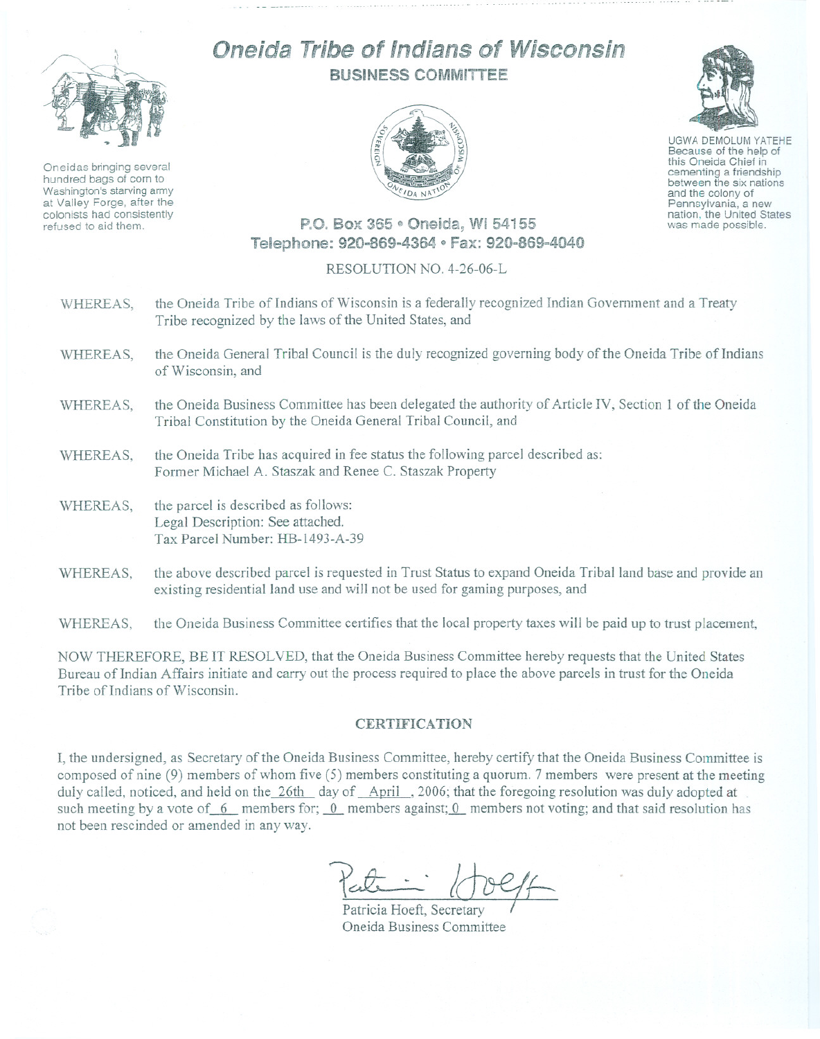

Oneidas bringing several hundred bags of corn to Washington's starving army at Valley Forge, after the colonists had consistently refused to aid them.

## Oneida Tribe of Indians of Wisconsin BUSINESS COMM!TTEE



UGWA DEMOLUM YATEHE Because of the help of this Oneida Chief in<br>cementing a friendship between the six nations and the colony of<br>Pennsylvania, a new nation, the United States was made possible.

## P.O. Box 365 · Oneida, WI 54155 Telephone: 920-869~4364 e Fax: 920-869-4040

## RESOLUTION NO. 4-26-06-L

- WHEREAS, the Oneida Tribe of Indians of Wisconsin is a federally recognized Indian Government and a Treaty Tribe recognized by the laws of the United States, and
- WHEREAS, the Oneida General Tribal Council is the duly recognized governing body of the Oneida Tribe of Indians of Wisconsin, and
- WHEREAS, the Oneida Business Committee has been delegated the authority of Article IV, Section 1 of the Oneida Tribal Constitution by the Oneida General Tribal Council, and
- WHEREAS, the Oneida Tribe has acquired in fee status the following parcel described as: Former Michael A. Staszak and Renee C. Staszak Property
- WHEREAS, the parcel is described as follows: Legal Description: See attached. Tax Parcel Number: HB-1493-A-39
- WHEREAS, the above described parcel is requested in Trust Status to expand Oneida Tribal land base and provide an existing residential land use and will not be used for gaming purposes, and

WHEREAS, the Oneida Business Committee certifies that the local property taxes will be paid up to trust placement,

NOW THEREFORE, BE IT RESOLVED, that the Oneida Business Committee hereby requests that the United States Bureau of Indian Affairs initiate and carry out the process required to place the above parcels in trust for the Oneida Tribe of Indians of Wisconsin.

## CERTIFICATION

I, the undersigned, as Secretary of the Oneida Business Committee, hereby certify that the Oneida Business Committee is composed of nine (9) members of whom five (5) members constituting a quorum. 7 members were present at the meeting duly called, noticed, and held on the 26th day of April, 2006; that the foregoing resolution was duly adopted at such meeting by a vote of  $6$  members for;  $0$  members against;  $0$  members not voting; and that said resolution has not been rescinded or amended in any way.

Peut - 10eff

Oneida Business Committee